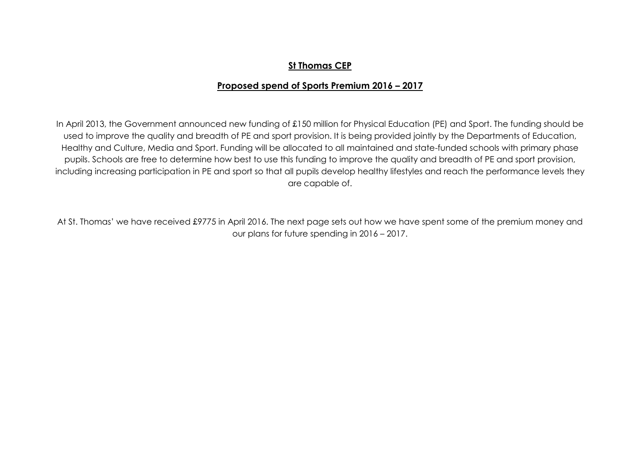## **St Thomas CEP**

## **Proposed spend of Sports Premium 2016 – 2017**

In April 2013, the Government announced new funding of £150 million for Physical Education (PE) and Sport. The funding should be used to improve the quality and breadth of PE and sport provision. It is being provided jointly by the Departments of Education, Healthy and Culture, Media and Sport. Funding will be allocated to all maintained and state-funded schools with primary phase pupils. Schools are free to determine how best to use this funding to improve the quality and breadth of PE and sport provision, including increasing participation in PE and sport so that all pupils develop healthy lifestyles and reach the performance levels they are capable of.

At St. Thomas' we have received £9775 in April 2016. The next page sets out how we have spent some of the premium money and our plans for future spending in 2016 – 2017.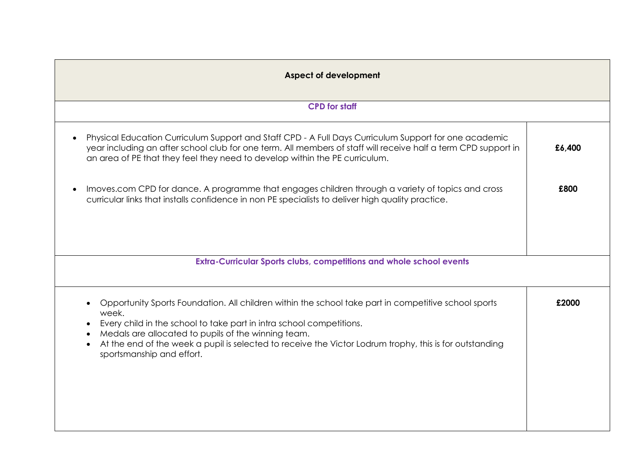| <b>Aspect of development</b>                                                                                                                                                                                                                                                                                                                                                                                                             |        |  |
|------------------------------------------------------------------------------------------------------------------------------------------------------------------------------------------------------------------------------------------------------------------------------------------------------------------------------------------------------------------------------------------------------------------------------------------|--------|--|
| <b>CPD</b> for staff                                                                                                                                                                                                                                                                                                                                                                                                                     |        |  |
| Physical Education Curriculum Support and Staff CPD - A Full Days Curriculum Support for one academic<br>year including an after school club for one term. All members of staff will receive half a term CPD support in<br>an area of PE that they feel they need to develop within the PE curriculum.                                                                                                                                   | £6,400 |  |
| Imoves.com CPD for dance. A programme that engages children through a variety of topics and cross<br>curricular links that installs confidence in non PE specialists to deliver high quality practice.                                                                                                                                                                                                                                   | £800   |  |
| Extra-Curricular Sports clubs, competitions and whole school events                                                                                                                                                                                                                                                                                                                                                                      |        |  |
| Opportunity Sports Foundation. All children within the school take part in competitive school sports<br>$\bullet$<br>week.<br>Every child in the school to take part in intra school competitions.<br>$\bullet$<br>Medals are allocated to pupils of the winning team.<br>$\bullet$<br>At the end of the week a pupil is selected to receive the Victor Lodrum trophy, this is for outstanding<br>$\bullet$<br>sportsmanship and effort. | £2000  |  |